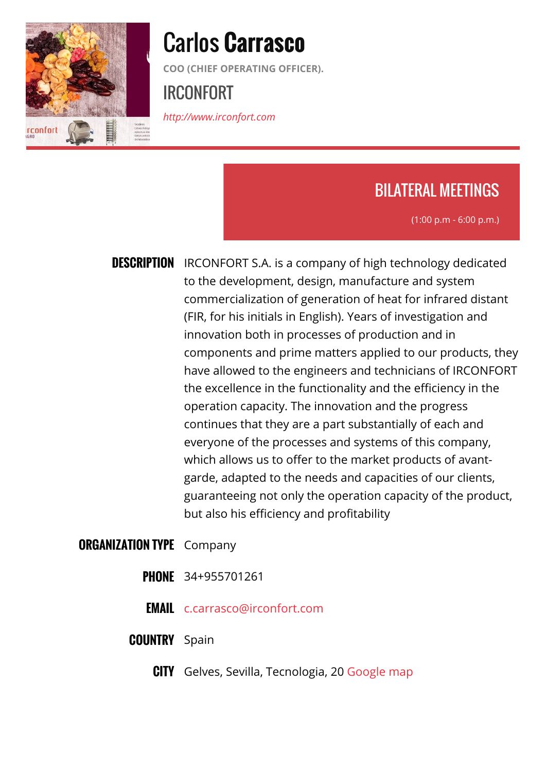

# Carlos **Carrasco**

**COO (CHIEF OPERATING OFFICER).**

## IRCONFORT

*<http://www.irconfort.com>*

## BILATERAL MEETINGS

(1:00 p.m - 6:00 p.m.)

**DESCRIPTION** IRCONFORT S.A. is a company of high technology dedicated to the development, design, manufacture and system commercialization of generation of heat for infrared distant (FIR, for his initials in English). Years of investigation and innovation both in processes of production and in components and prime matters applied to our products, they have allowed to the engineers and technicians of IRCONFORT the excellence in the functionality and the efficiency in the operation capacity. The innovation and the progress continues that they are a part substantially of each and everyone of the processes and systems of this company, which allows us to offer to the market products of avantgarde, adapted to the needs and capacities of our clients, guaranteeing not only the operation capacity of the product, but also his efficiency and profitability

#### **ORGANIZATION TYPE** Company

- **PHONE** 34+955701261
- **EMAIL** [c.carrasco@irconfort.com](mailto:c.carrasco@irconfort.com)
- **COUNTRY** Spain
	- **CITY** Gelves, Sevilla, Tecnologia, 20 [Google map](http://agrob2b.talkb2b.net/home/map?city=Gelves, Sevilla&address=Tecnologia, 20)